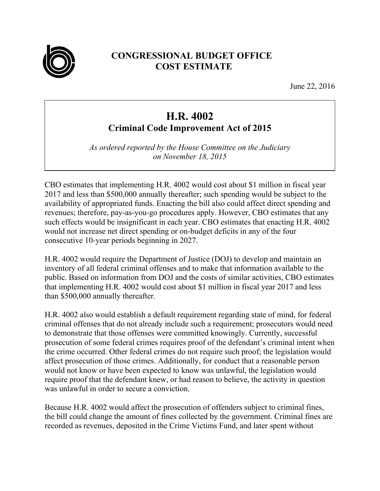

## **CONGRESSIONAL BUDGET OFFICE COST ESTIMATE**

June 22, 2016

## **H.R. 4002 Criminal Code Improvement Act of 2015**

*As ordered reported by the House Committee on the Judiciary on November 18, 2015* 

CBO estimates that implementing H.R. 4002 would cost about \$1 million in fiscal year 2017 and less than \$500,000 annually thereafter; such spending would be subject to the availability of appropriated funds. Enacting the bill also could affect direct spending and revenues; therefore, pay-as-you-go procedures apply. However, CBO estimates that any such effects would be insignificant in each year. CBO estimates that enacting H.R. 4002 would not increase net direct spending or on-budget deficits in any of the four consecutive 10-year periods beginning in 2027.

H.R. 4002 would require the Department of Justice (DOJ) to develop and maintain an inventory of all federal criminal offenses and to make that information available to the public. Based on information from DOJ and the costs of similar activities, CBO estimates that implementing H.R. 4002 would cost about \$1 million in fiscal year 2017 and less than \$500,000 annually thereafter.

H.R. 4002 also would establish a default requirement regarding state of mind, for federal criminal offenses that do not already include such a requirement; prosecutors would need to demonstrate that those offenses were committed knowingly. Currently, successful prosecution of some federal crimes requires proof of the defendant's criminal intent when the crime occurred. Other federal crimes do not require such proof; the legislation would affect prosecution of those crimes. Additionally, for conduct that a reasonable person would not know or have been expected to know was unlawful, the legislation would require proof that the defendant knew, or had reason to believe, the activity in question was unlawful in order to secure a conviction.

Because H.R. 4002 would affect the prosecution of offenders subject to criminal fines, the bill could change the amount of fines collected by the government. Criminal fines are recorded as revenues, deposited in the Crime Victims Fund, and later spent without